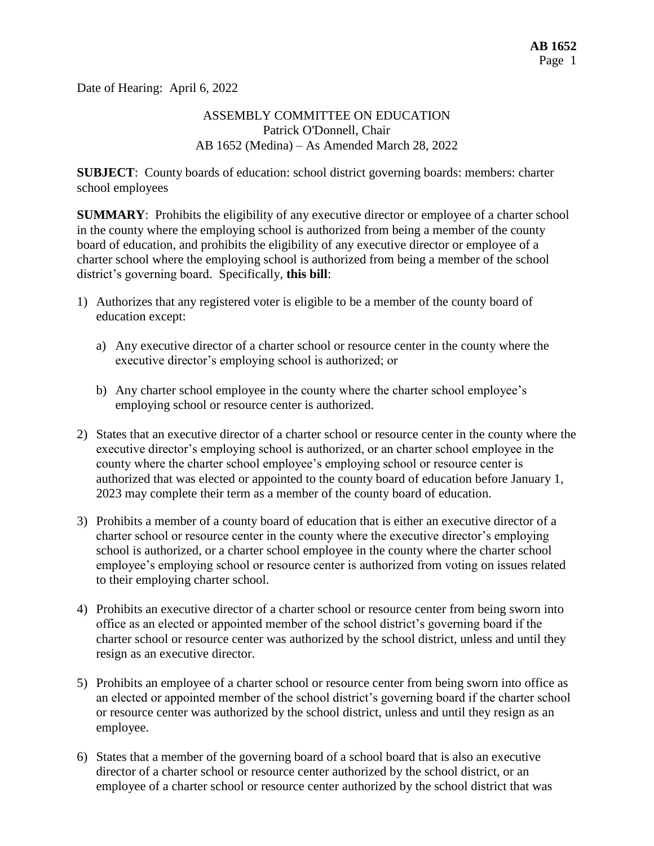Date of Hearing: April 6, 2022

## ASSEMBLY COMMITTEE ON EDUCATION Patrick O'Donnell, Chair AB 1652 (Medina) – As Amended March 28, 2022

**SUBJECT**: County boards of education: school district governing boards: members: charter school employees

**SUMMARY:** Prohibits the eligibility of any executive director or employee of a charter school in the county where the employing school is authorized from being a member of the county board of education, and prohibits the eligibility of any executive director or employee of a charter school where the employing school is authorized from being a member of the school district's governing board. Specifically, **this bill**:

- 1) Authorizes that any registered voter is eligible to be a member of the county board of education except:
	- a) Any executive director of a charter school or resource center in the county where the executive director's employing school is authorized; or
	- b) Any charter school employee in the county where the charter school employee's employing school or resource center is authorized.
- 2) States that an executive director of a charter school or resource center in the county where the executive director's employing school is authorized, or an charter school employee in the county where the charter school employee's employing school or resource center is authorized that was elected or appointed to the county board of education before January 1, 2023 may complete their term as a member of the county board of education.
- 3) Prohibits a member of a county board of education that is either an executive director of a charter school or resource center in the county where the executive director's employing school is authorized, or a charter school employee in the county where the charter school employee's employing school or resource center is authorized from voting on issues related to their employing charter school.
- 4) Prohibits an executive director of a charter school or resource center from being sworn into office as an elected or appointed member of the school district's governing board if the charter school or resource center was authorized by the school district, unless and until they resign as an executive director.
- 5) Prohibits an employee of a charter school or resource center from being sworn into office as an elected or appointed member of the school district's governing board if the charter school or resource center was authorized by the school district, unless and until they resign as an employee.
- 6) States that a member of the governing board of a school board that is also an executive director of a charter school or resource center authorized by the school district, or an employee of a charter school or resource center authorized by the school district that was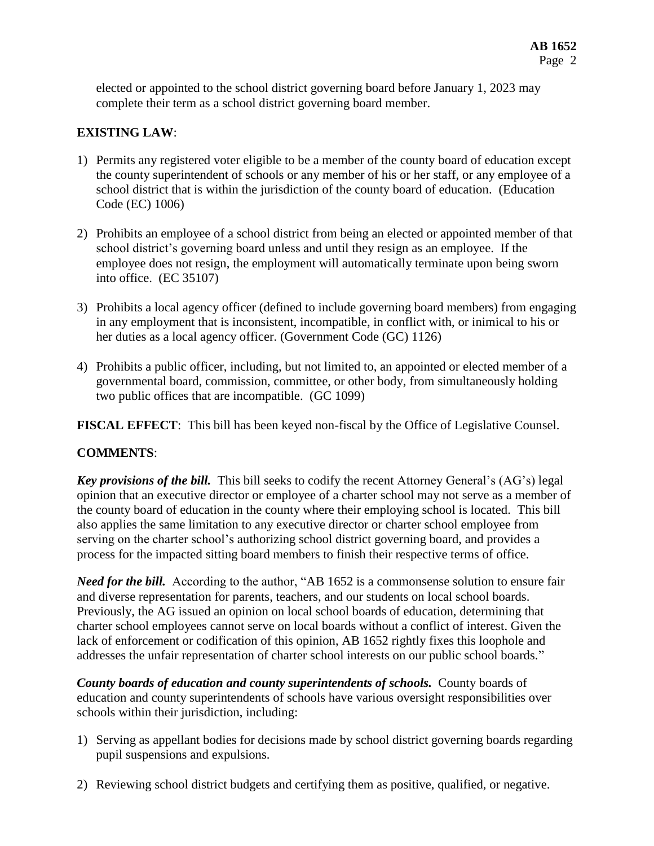elected or appointed to the school district governing board before January 1, 2023 may complete their term as a school district governing board member.

# **EXISTING LAW**:

- 1) Permits any registered voter eligible to be a member of the county board of education except the county superintendent of schools or any member of his or her staff, or any employee of a school district that is within the jurisdiction of the county board of education. (Education Code (EC) 1006)
- 2) Prohibits an employee of a school district from being an elected or appointed member of that school district's governing board unless and until they resign as an employee. If the employee does not resign, the employment will automatically terminate upon being sworn into office. (EC 35107)
- 3) Prohibits a local agency officer (defined to include governing board members) from engaging in any employment that is inconsistent, incompatible, in conflict with, or inimical to his or her duties as a local agency officer. (Government Code (GC) 1126)
- 4) Prohibits a public officer, including, but not limited to, an appointed or elected member of a governmental board, commission, committee, or other body, from simultaneously holding two public offices that are incompatible. (GC 1099)

**FISCAL EFFECT**: This bill has been keyed non-fiscal by the Office of Legislative Counsel.

## **COMMENTS**:

*Key provisions of the bill.* This bill seeks to codify the recent Attorney General's (AG's) legal opinion that an executive director or employee of a charter school may not serve as a member of the county board of education in the county where their employing school is located. This bill also applies the same limitation to any executive director or charter school employee from serving on the charter school's authorizing school district governing board, and provides a process for the impacted sitting board members to finish their respective terms of office.

*Need for the bill.* According to the author, "AB 1652 is a commonsense solution to ensure fair and diverse representation for parents, teachers, and our students on local school boards. Previously, the AG issued an opinion on local school boards of education, determining that charter school employees cannot serve on local boards without a conflict of interest. Given the lack of enforcement or codification of this opinion, AB 1652 rightly fixes this loophole and addresses the unfair representation of charter school interests on our public school boards."

*County boards of education and county superintendents of schools.* County boards of education and county superintendents of schools have various oversight responsibilities over schools within their jurisdiction, including:

- 1) Serving as appellant bodies for decisions made by school district governing boards regarding pupil suspensions and expulsions.
- 2) Reviewing school district budgets and certifying them as positive, qualified, or negative.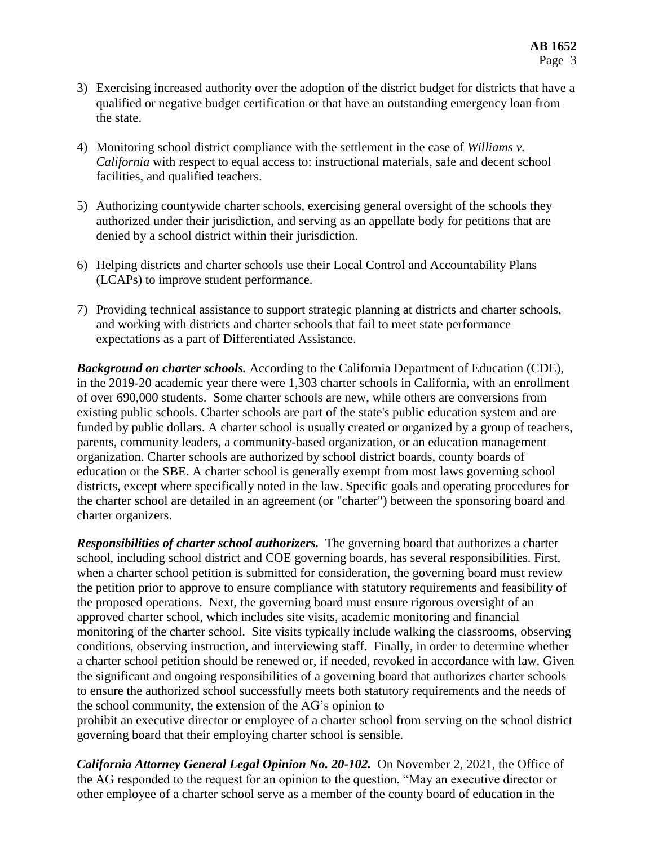- 3) Exercising increased authority over the adoption of the district budget for districts that have a qualified or negative budget certification or that have an outstanding emergency loan from the state.
- 4) Monitoring school district compliance with the settlement in the case of *Williams v. California* with respect to equal access to: instructional materials, safe and decent school facilities, and qualified teachers.
- 5) Authorizing countywide charter schools, exercising general oversight of the schools they authorized under their jurisdiction, and serving as an appellate body for petitions that are denied by a school district within their jurisdiction.
- 6) Helping districts and charter schools use their Local Control and Accountability Plans (LCAPs) to improve student performance.
- 7) Providing technical assistance to support strategic planning at districts and charter schools, and working with districts and charter schools that fail to meet state performance expectations as a part of Differentiated Assistance.

*Background on charter schools.* According to the California Department of Education (CDE), in the 2019-20 academic year there were 1,303 charter schools in California, with an enrollment of over 690,000 students. Some charter schools are new, while others are conversions from existing public schools. Charter schools are part of the state's public education system and are funded by public dollars. A charter school is usually created or organized by a group of teachers, parents, community leaders, a community-based organization, or an education management organization. Charter schools are authorized by school district boards, county boards of education or the SBE. A charter school is generally exempt from most laws governing school districts, except where specifically noted in the law. Specific goals and operating procedures for the charter school are detailed in an agreement (or "charter") between the sponsoring board and charter organizers.

*Responsibilities of charter school authorizers.* The governing board that authorizes a charter school, including school district and COE governing boards, has several responsibilities. First, when a charter school petition is submitted for consideration, the governing board must review the petition prior to approve to ensure compliance with statutory requirements and feasibility of the proposed operations. Next, the governing board must ensure rigorous oversight of an approved charter school, which includes site visits, academic monitoring and financial monitoring of the charter school. Site visits typically include walking the classrooms, observing conditions, observing instruction, and interviewing staff. Finally, in order to determine whether a charter school petition should be renewed or, if needed, revoked in accordance with law. Given the significant and ongoing responsibilities of a governing board that authorizes charter schools to ensure the authorized school successfully meets both statutory requirements and the needs of the school community, the extension of the AG's opinion to

prohibit an executive director or employee of a charter school from serving on the school district governing board that their employing charter school is sensible.

*California Attorney General Legal Opinion No. 20-102.* On November 2, 2021, the Office of the AG responded to the request for an opinion to the question, "May an executive director or other employee of a charter school serve as a member of the county board of education in the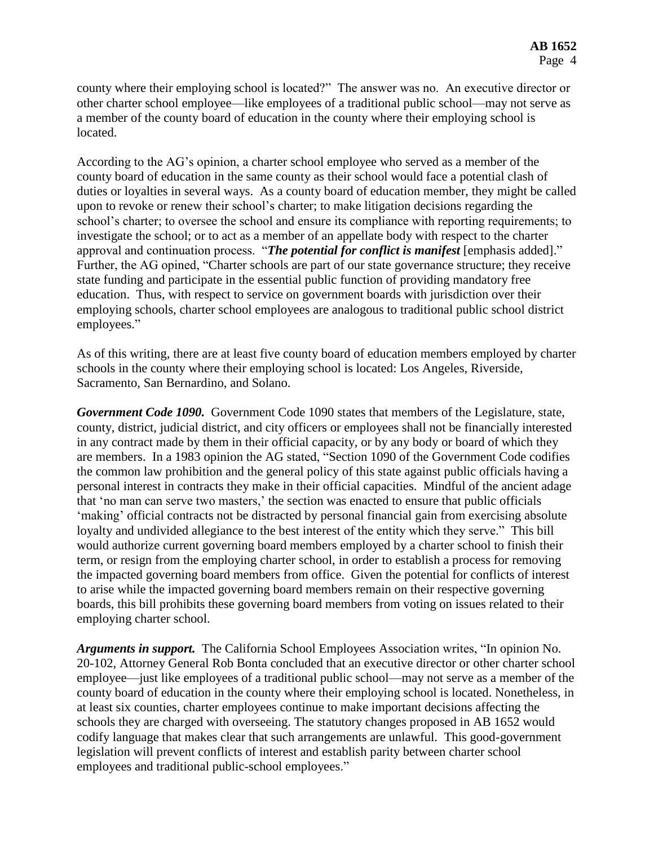county where their employing school is located?" The answer was no. An executive director or other charter school employee—like employees of a traditional public school—may not serve as a member of the county board of education in the county where their employing school is located.

According to the AG's opinion, a charter school employee who served as a member of the county board of education in the same county as their school would face a potential clash of duties or loyalties in several ways. As a county board of education member, they might be called upon to revoke or renew their school's charter; to make litigation decisions regarding the school's charter; to oversee the school and ensure its compliance with reporting requirements; to investigate the school; or to act as a member of an appellate body with respect to the charter approval and continuation process. "*The potential for conflict is manifest* [emphasis added]." Further, the AG opined, "Charter schools are part of our state governance structure; they receive state funding and participate in the essential public function of providing mandatory free education. Thus, with respect to service on government boards with jurisdiction over their employing schools, charter school employees are analogous to traditional public school district employees."

As of this writing, there are at least five county board of education members employed by charter schools in the county where their employing school is located: Los Angeles, Riverside, Sacramento, San Bernardino, and Solano.

*Government Code 1090.* Government Code 1090 states that members of the Legislature, state, county, district, judicial district, and city officers or employees shall not be financially interested in any contract made by them in their official capacity, or by any body or board of which they are members. In a 1983 opinion the AG stated, "Section 1090 of the Government Code codifies the common law prohibition and the general policy of this state against public officials having a personal interest in contracts they make in their official capacities. Mindful of the ancient adage that 'no man can serve two masters,' the section was enacted to ensure that public officials 'making' official contracts not be distracted by personal financial gain from exercising absolute loyalty and undivided allegiance to the best interest of the entity which they serve." This bill would authorize current governing board members employed by a charter school to finish their term, or resign from the employing charter school, in order to establish a process for removing the impacted governing board members from office. Given the potential for conflicts of interest to arise while the impacted governing board members remain on their respective governing boards, this bill prohibits these governing board members from voting on issues related to their employing charter school.

*Arguments in support.* The California School Employees Association writes, "In opinion No. 20-102, Attorney General Rob Bonta concluded that an executive director or other charter school employee—just like employees of a traditional public school—may not serve as a member of the county board of education in the county where their employing school is located. Nonetheless, in at least six counties, charter employees continue to make important decisions affecting the schools they are charged with overseeing. The statutory changes proposed in AB 1652 would codify language that makes clear that such arrangements are unlawful. This good-government legislation will prevent conflicts of interest and establish parity between charter school employees and traditional public-school employees."